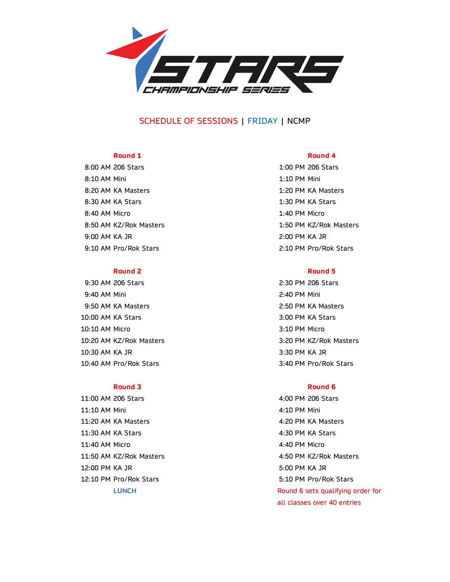

# SCHEDULE OF SESSIONS | FRIDAY | NCMP

8:00 AM 206 Stars 1:00 PM 206 Stars 1:00 PM 206 Stars 8:10 AM Mini 1:10 PM Mini 8:20 AM KA Masters 1:20 PM KA Masters 8:30 AM KA Stars 1:30 PM KA Stars 8:40 AM Micro 1:40 PM Micro 1:40 AM Micro 1:40 PM Micro 1:40 PM Micro 1:40 PM Micro 1:40 PM Micro 1:40 PM Micro 1:40 PM Micro 1:40 PM Micro 1:40 PM Micro 1:40 PM Micro 1:40 PM Micro 1:40 PM Micro 1:40 PM Micro 1:40 PM Micr 9:00 AM KA JR 2:00 PM KA JR 9:10 AM Pro/Rok Stars 2:10 PM Pro/Rok Stars

9:30 AM 206 Stars 2:30 PM 206 Stars 9:40 AM Mini 2:40 PM Mini 9:50 AM KA Masters 2:50 PM KA Masters 10:00 AM KA Stars 3:00 PM KA Stars 3:00 AM KA Stars 3:00 PM KA Stars 3:00 PM KA Stars 3:00 PM KA Stars 3:00 PM KA Stars 3:00 PM KA Stars 3:00 PM KA Stars 3:00 PM KA Stars 3:00 PM KA Stars 3:00 PM KA Stars 3:00 PM KA Stars 10:10 AM Micro 3:10 PM Micro 10:20 AM KZ/Rok Masters 3:20 PM KZ/Rok Masters 10:30 AM KA JR 3:30 PM KA JR 10:40 AM Pro/Rok Stars 3:40 PM Pro/Rok Stars

11:00 AM 206 Stars 4:00 PM 206 Stars 11:10 AM Mini 4:10 PM Mini 11:20 AM KA Masters 4:20 PM KA Masters 11:30 AM KA Stars 4:30 PM KA Stars 11:40 AM Micro 4:40 PM Micro 11:50 AM KZ/Rok Masters 4:50 PM KZ/Rok Masters 12:00 PM KA JR 5:00 PM KA JR 12:10 PM Pro/Rok Stars 6:10 PM Pro/Rok Stars 5:10 PM Pro/Rok Stars

### **Round 1 Round 4**

8:50 AM KZ/Rok Masters 1:50 PM KZ/Rok Masters

## **Round 2 Round 5**

### **Round 3 Round 6**

**LUNCH Round 6 sets qualifying order for** all classes over 40 entries